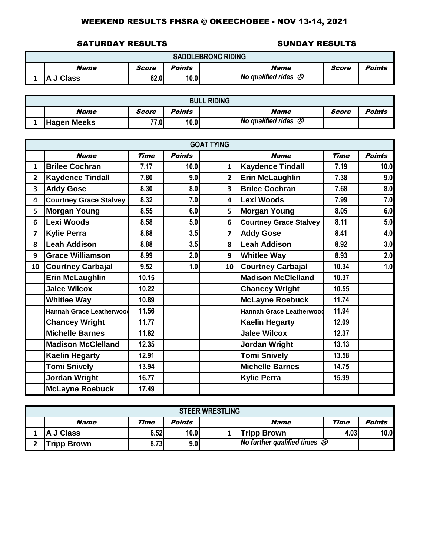#### SATURDAY RESULTS SUNDAY RESULTS

|                                                                        | <b>SADDLEBRONC RIDING</b>                                        |  |  |  |  |  |  |  |  |  |  |
|------------------------------------------------------------------------|------------------------------------------------------------------|--|--|--|--|--|--|--|--|--|--|
|                                                                        | Score<br>Name<br><b>Name</b><br><b>Points</b><br>Points<br>Score |  |  |  |  |  |  |  |  |  |  |
| No qualified rides $\otimes$<br>62.0<br>10.0<br><b>Class</b><br>A<br>w |                                                                  |  |  |  |  |  |  |  |  |  |  |

| <b>BULL RIDING</b> |       |        |  |  |                                  |       |        |  |  |  |  |
|--------------------|-------|--------|--|--|----------------------------------|-------|--------|--|--|--|--|
| <b>Name</b>        | Score | Points |  |  | <b>Name</b>                      | Score | Points |  |  |  |  |
| <b>Hagen Meeks</b> | 77.0  | 10.0   |  |  | No qualified rides $\mathcal{O}$ |       |        |  |  |  |  |

|                         | <b>GOAT TYING</b><br><b>Time</b><br><b>Points</b> |             |             |               |                         |                                 |       |      |  |  |  |  |
|-------------------------|---------------------------------------------------|-------------|-------------|---------------|-------------------------|---------------------------------|-------|------|--|--|--|--|
|                         | <b>Name</b>                                       | <b>Name</b> | <b>Time</b> | <b>Points</b> |                         |                                 |       |      |  |  |  |  |
| $\mathbf{1}$            | <b>Brilee Cochran</b>                             | 7.17        | 10.0        |               | $\mathbf{1}$            | <b>Kaydence Tindall</b>         | 7.19  | 10.0 |  |  |  |  |
| $\overline{2}$          | <b>Kaydence Tindall</b>                           | 7.80        | 9.0         |               | $\overline{2}$          | <b>Erin McLaughlin</b>          | 7.38  | 9.0  |  |  |  |  |
| $\overline{\mathbf{3}}$ | <b>Addy Gose</b>                                  | 8.30        | 8.0         |               | $\overline{\mathbf{3}}$ | <b>Brilee Cochran</b>           | 7.68  | 8.0  |  |  |  |  |
| 4                       | <b>Courtney Grace Stalvey</b>                     | 8.32        | 7.0         |               | 4                       | Lexi Woods                      | 7.99  | 7.0  |  |  |  |  |
| 5                       | <b>Morgan Young</b>                               | 8.55        | 6.0         |               | 5                       | <b>Morgan Young</b>             | 8.05  | 6.0  |  |  |  |  |
| 6                       | <b>Lexi Woods</b>                                 | 8.58        | 5.0         |               | 6                       | <b>Courtney Grace Stalvey</b>   | 8.11  | 5.0  |  |  |  |  |
| $\overline{7}$          | <b>Kylie Perra</b>                                | 8.88        | 3.5         |               | $\overline{\mathbf{z}}$ | <b>Addy Gose</b>                | 8.41  | 4.0  |  |  |  |  |
| 8                       | <b>Leah Addison</b>                               | 8.88        | 3.5         |               | 8                       | <b>Leah Addison</b>             | 8.92  | 3.0  |  |  |  |  |
| 9                       | <b>Grace Williamson</b>                           | 8.99        | 2.0         |               | 9                       | <b>Whitlee Way</b>              | 8.93  | 2.0  |  |  |  |  |
| 10                      | <b>Courtney Carbajal</b>                          | 9.52        | 1.0         |               | 10                      | <b>Courtney Carbajal</b>        | 10.34 | 1.0  |  |  |  |  |
|                         | <b>Erin McLaughlin</b>                            | 10.15       |             |               |                         | <b>Madison McClelland</b>       | 10.37 |      |  |  |  |  |
|                         | <b>Jalee Wilcox</b>                               | 10.22       |             |               |                         | <b>Chancey Wright</b>           | 10.55 |      |  |  |  |  |
|                         | <b>Whitlee Way</b>                                | 10.89       |             |               |                         | <b>McLayne Roebuck</b>          | 11.74 |      |  |  |  |  |
|                         | <b>Hannah Grace Leatherwood</b>                   | 11.56       |             |               |                         | <b>Hannah Grace Leatherwood</b> | 11.94 |      |  |  |  |  |
|                         | <b>Chancey Wright</b>                             | 11.77       |             |               |                         | <b>Kaelin Hegarty</b>           | 12.09 |      |  |  |  |  |
|                         | <b>Michelle Barnes</b>                            | 11.82       |             |               |                         | <b>Jalee Wilcox</b>             | 12.37 |      |  |  |  |  |
|                         | <b>Madison McClelland</b>                         | 12.35       |             |               |                         | <b>Jordan Wright</b>            | 13.13 |      |  |  |  |  |
|                         | <b>Kaelin Hegarty</b>                             | 12.91       |             |               |                         | <b>Tomi Snively</b>             | 13.58 |      |  |  |  |  |
|                         | <b>Tomi Snively</b>                               | 13.94       |             |               |                         | <b>Michelle Barnes</b>          | 14.75 |      |  |  |  |  |
|                         | <b>Jordan Wright</b>                              | 16.77       |             |               |                         | <b>Kylie Perra</b>              | 15.99 |      |  |  |  |  |
|                         | <b>McLayne Roebuck</b>                            | 17.49       |             |               |                         |                                 |       |      |  |  |  |  |

|                                                      | <b>STEER WRESTLING</b>                                                |      |      |  |  |                    |      |      |  |  |  |
|------------------------------------------------------|-----------------------------------------------------------------------|------|------|--|--|--------------------|------|------|--|--|--|
| Time<br>Time<br>Points<br><b>Name</b><br><b>Name</b> |                                                                       |      |      |  |  |                    |      |      |  |  |  |
|                                                      | J Class                                                               | 6.52 | 10.0 |  |  | <b>Tripp Brown</b> | 4.03 | 10.0 |  |  |  |
|                                                      | No further qualified times $\mathcal{B}$<br>8.73<br>9.0<br>ripp Brown |      |      |  |  |                    |      |      |  |  |  |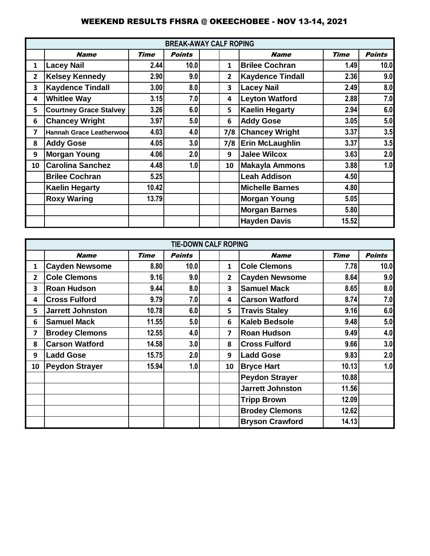|                         |                                 |             | <b>BREAK-AWAY CALF ROPING</b> |              |                         |             |               |
|-------------------------|---------------------------------|-------------|-------------------------------|--------------|-------------------------|-------------|---------------|
|                         | <b>Name</b>                     | <b>Time</b> | <b>Points</b>                 |              | <b>Name</b>             | <b>Time</b> | <b>Points</b> |
| 1                       | <b>Lacey Nail</b>               | 2.44        | 10.0                          | 1            | <b>Brilee Cochran</b>   | 1.49        | 10.0          |
| $\overline{2}$          | <b>Kelsey Kennedy</b>           | 2.90        | 9.0                           | $\mathbf{2}$ | <b>Kaydence Tindall</b> | 2.36        | 9.0           |
| 3                       | <b>Kaydence Tindall</b>         | 3.00        | 8.0                           | 3            | <b>Lacey Nail</b>       | 2.49        | 8.0           |
| 4                       | <b>Whitlee Way</b>              | 3.15        | 7.0                           | 4            | <b>Leyton Watford</b>   | 2.88        | 7.0           |
| 5                       | <b>Courtney Grace Stalvey</b>   | 3.26        | 6.0                           | 5            | <b>Kaelin Hegarty</b>   | 2.94        | 6.0           |
| 6                       | <b>Chancey Wright</b>           | 3.97        | 5.0                           | 6            | <b>Addy Gose</b>        | 3.05        | 5.0           |
| $\overline{\mathbf{z}}$ | <b>Hannah Grace Leatherwood</b> | 4.03        | 4.0                           | 7/8          | <b>Chancey Wright</b>   | 3.37        | 3.5           |
| 8                       | <b>Addy Gose</b>                | 4.05        | 3.0                           | 7/8          | <b>Erin McLaughlin</b>  | 3.37        | 3.5           |
| 9                       | Morgan Young                    | 4.06        | 2.0                           | 9            | <b>Jalee Wilcox</b>     | 3.63        | 2.0           |
| 10                      | <b>Carolina Sanchez</b>         | 4.48        | 1.0                           | 10           | <b>Makayla Ammons</b>   | 3.88        | 1.0           |
|                         | <b>Brilee Cochran</b>           | 5.25        |                               |              | <b>Leah Addison</b>     | 4.50        |               |
|                         | <b>Kaelin Hegarty</b>           | 10.42       |                               |              | <b>Michelle Barnes</b>  | 4.80        |               |
|                         | <b>Roxy Waring</b>              | 13.79       |                               |              | <b>Morgan Young</b>     | 5.05        |               |
|                         |                                 |             |                               |              | <b>Morgan Barnes</b>    | 5.80        |               |
|                         |                                 |             |                               |              | <b>Hayden Davis</b>     | 15.52       |               |

|                |                         |             | <b>TIE-DOWN CALF ROPING</b> |                |                         |             |               |
|----------------|-------------------------|-------------|-----------------------------|----------------|-------------------------|-------------|---------------|
|                | <b>Name</b>             | <b>Time</b> | <b>Points</b>               |                | <b>Name</b>             | <b>Time</b> | <b>Points</b> |
| 1              | <b>Cayden Newsome</b>   | 8.80        | 10.0                        | 1              | <b>Cole Clemons</b>     | 7.78        | 10.0          |
| $\overline{2}$ | <b>Cole Clemons</b>     | 9.16        | 9.0                         | $\overline{2}$ | <b>Cayden Newsome</b>   | 8.64        | 9.0           |
| 3              | <b>Roan Hudson</b>      | 9.44        | 8.0                         | 3              | <b>Samuel Mack</b>      | 8.65        | 8.0           |
| 4              | <b>Cross Fulford</b>    | 9.79        | 7.0                         | 4              | <b>Carson Watford</b>   | 8.74        | 7.0           |
| 5              | <b>Jarrett Johnston</b> | 10.78       | 6.0                         | 5              | <b>Travis Staley</b>    | 9.16        | 6.0           |
| 6              | <b>Samuel Mack</b>      | 11.55       | 5.0                         | 6              | <b>Kaleb Bedsole</b>    | 9.48        | 5.0           |
| 7              | <b>Brodey Clemons</b>   | 12.55       | 4.0                         | 7              | <b>Roan Hudson</b>      | 9.49        | 4.0           |
| 8              | <b>Carson Watford</b>   | 14.58       | 3.0                         | 8              | <b>Cross Fulford</b>    | 9.66        | 3.0           |
| 9              | <b>Ladd Gose</b>        | 15.75       | 2.0                         | 9              | <b>Ladd Gose</b>        | 9.83        | 2.0           |
| 10             | <b>Peydon Strayer</b>   | 15.94       | 1.0                         | 10             | <b>Bryce Hart</b>       | 10.13       | 1.0           |
|                |                         |             |                             |                | <b>Peydon Strayer</b>   | 10.88       |               |
|                |                         |             |                             |                | <b>Jarrett Johnston</b> | 11.56       |               |
|                |                         |             |                             |                | <b>Tripp Brown</b>      | 12.09       |               |
|                |                         |             |                             |                | <b>Brodey Clemons</b>   | 12.62       |               |
|                |                         |             |                             |                | <b>Bryson Crawford</b>  | 14.13       |               |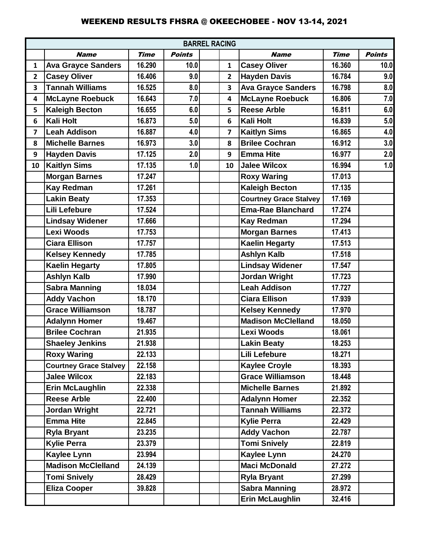|                         | <b>BARREL RACING</b>          |             |               |                         |                               |             |               |  |  |
|-------------------------|-------------------------------|-------------|---------------|-------------------------|-------------------------------|-------------|---------------|--|--|
|                         | <b>Name</b>                   | <b>Time</b> | <b>Points</b> |                         | <b>Name</b>                   | <b>Time</b> | <b>Points</b> |  |  |
| $\mathbf{1}$            | <b>Ava Grayce Sanders</b>     | 16.290      | 10.0          | 1                       | <b>Casey Oliver</b>           | 16.360      | 10.0          |  |  |
| $\overline{2}$          | <b>Casey Oliver</b>           | 16.406      | 9.0           | $\mathbf{2}$            | <b>Hayden Davis</b>           | 16.784      | 9.0           |  |  |
| 3                       | <b>Tannah Williams</b>        | 16.525      | 8.0           | 3                       | <b>Ava Grayce Sanders</b>     | 16.798      | 8.0           |  |  |
| 4                       | <b>McLayne Roebuck</b>        | 16.643      | 7.0           | 4                       | <b>McLayne Roebuck</b>        | 16.806      | 7.0           |  |  |
| 5                       | <b>Kaleigh Becton</b>         | 16.655      | 6.0           | 5                       | <b>Reese Arble</b>            | 16.811      | 6.0           |  |  |
| 6                       | <b>Kali Holt</b>              | 16.873      | 5.0           | $6\phantom{1}6$         | <b>Kali Holt</b>              | 16.839      | 5.0           |  |  |
| $\overline{\mathbf{z}}$ | <b>Leah Addison</b>           | 16.887      | 4.0           | $\overline{\mathbf{z}}$ | <b>Kaitlyn Sims</b>           | 16.865      | 4.0           |  |  |
| 8                       | <b>Michelle Barnes</b>        | 16.973      | 3.0           | 8                       | <b>Brilee Cochran</b>         | 16.912      | 3.0           |  |  |
| 9                       | <b>Hayden Davis</b>           | 17.125      | 2.0           | 9                       | <b>Emma Hite</b>              | 16.977      | 2.0           |  |  |
| 10                      | <b>Kaitlyn Sims</b>           | 17.135      | 1.0           | 10                      | <b>Jalee Wilcox</b>           | 16.994      | 1.0           |  |  |
|                         | <b>Morgan Barnes</b>          | 17.247      |               |                         | <b>Roxy Waring</b>            | 17.013      |               |  |  |
|                         | <b>Kay Redman</b>             | 17.261      |               |                         | <b>Kaleigh Becton</b>         | 17.135      |               |  |  |
|                         | <b>Lakin Beaty</b>            | 17.353      |               |                         | <b>Courtney Grace Stalvey</b> | 17.169      |               |  |  |
|                         | <b>Lili Lefebure</b>          | 17.524      |               |                         | <b>Ema-Rae Blanchard</b>      | 17.274      |               |  |  |
|                         | <b>Lindsay Widener</b>        | 17.666      |               |                         | <b>Kay Redman</b>             | 17.294      |               |  |  |
|                         | <b>Lexi Woods</b>             | 17.753      |               |                         | <b>Morgan Barnes</b>          | 17.413      |               |  |  |
|                         | <b>Ciara Ellison</b>          | 17.757      |               |                         | <b>Kaelin Hegarty</b>         | 17.513      |               |  |  |
|                         | <b>Kelsey Kennedy</b>         | 17.785      |               |                         | <b>Ashlyn Kalb</b>            | 17.518      |               |  |  |
|                         | <b>Kaelin Hegarty</b>         | 17.805      |               |                         | <b>Lindsay Widener</b>        | 17.547      |               |  |  |
|                         | <b>Ashlyn Kalb</b>            | 17.990      |               |                         | Jordan Wright                 | 17.723      |               |  |  |
|                         | <b>Sabra Manning</b>          | 18.034      |               |                         | <b>Leah Addison</b>           | 17.727      |               |  |  |
|                         | <b>Addy Vachon</b>            | 18.170      |               |                         | <b>Ciara Ellison</b>          | 17.939      |               |  |  |
|                         | <b>Grace Williamson</b>       | 18.787      |               |                         | <b>Kelsey Kennedy</b>         | 17.970      |               |  |  |
|                         | <b>Adalynn Homer</b>          | 19.467      |               |                         | <b>Madison McClelland</b>     | 18.050      |               |  |  |
|                         | <b>Brilee Cochran</b>         | 21.935      |               |                         | <b>Lexi Woods</b>             | 18.061      |               |  |  |
|                         | <b>Shaeley Jenkins</b>        | 21.938      |               |                         | <b>Lakin Beaty</b>            | 18.253      |               |  |  |
|                         | <b>Roxy Waring</b>            | 22.133      |               |                         | Lili Lefebure                 | 18.271      |               |  |  |
|                         | <b>Courtney Grace Stalvey</b> | 22.158      |               |                         | <b>Kaylee Croyle</b>          | 18.393      |               |  |  |
|                         | <b>Jalee Wilcox</b>           | 22.183      |               |                         | <b>Grace Williamson</b>       | 18.448      |               |  |  |
|                         | <b>Erin McLaughlin</b>        | 22.338      |               |                         | <b>Michelle Barnes</b>        | 21.892      |               |  |  |
|                         | <b>Reese Arble</b>            | 22.400      |               |                         | <b>Adalynn Homer</b>          | 22,352      |               |  |  |
|                         | <b>Jordan Wright</b>          | 22.721      |               |                         | <b>Tannah Williams</b>        | 22.372      |               |  |  |
|                         | <b>Emma Hite</b>              | 22.845      |               |                         | <b>Kylie Perra</b>            | 22.429      |               |  |  |
|                         | <b>Ryla Bryant</b>            | 23.235      |               |                         | <b>Addy Vachon</b>            | 22.787      |               |  |  |
|                         | <b>Kylie Perra</b>            | 23.379      |               |                         | <b>Tomi Snively</b>           | 22.819      |               |  |  |
|                         | <b>Kaylee Lynn</b>            | 23.994      |               |                         | <b>Kaylee Lynn</b>            | 24.270      |               |  |  |
|                         | <b>Madison McClelland</b>     | 24.139      |               |                         | <b>Maci McDonald</b>          | 27.272      |               |  |  |
|                         | <b>Tomi Snively</b>           | 28.429      |               |                         | <b>Ryla Bryant</b>            | 27.299      |               |  |  |
|                         | <b>Eliza Cooper</b>           | 39.828      |               |                         | <b>Sabra Manning</b>          | 28.972      |               |  |  |
|                         |                               |             |               |                         | <b>Erin McLaughlin</b>        | 32.416      |               |  |  |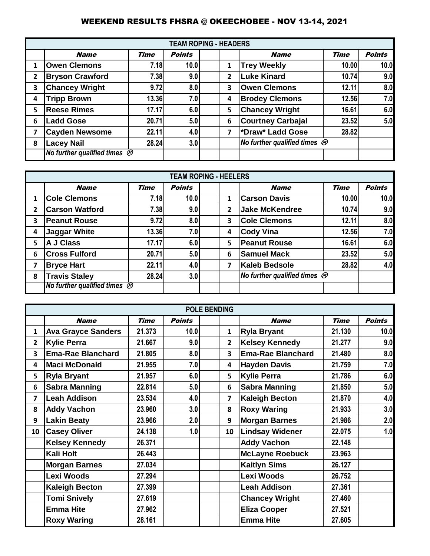|                |                                        |             | <b>TEAM ROPING - HEADERS</b> |   |                                                     |             |               |
|----------------|----------------------------------------|-------------|------------------------------|---|-----------------------------------------------------|-------------|---------------|
|                | <b>Name</b>                            | <b>Time</b> | <b>Points</b>                |   | <b>Name</b>                                         | <b>Time</b> | <b>Points</b> |
| 1              | <b>Owen Clemons</b>                    | 7.18        | 10.0                         | 1 | <b>Trey Weekly</b>                                  | 10.00       | 10.0          |
| $\overline{2}$ | <b>Bryson Crawford</b>                 | 7.38        | 9.0                          | 2 | <b>Luke Kinard</b>                                  | 10.74       | 9.0           |
| 3              | <b>Chancey Wright</b>                  | 9.72        | 8.0                          | 3 | <b>Owen Clemons</b>                                 | 12.11       | 8.0           |
| 4              | <b>Tripp Brown</b>                     | 13.36       | 7.0                          | 4 | <b>Brodey Clemons</b>                               | 12.56       | 7.0           |
| 5              | <b>Reese Rimes</b>                     | 17.17       | 6.0                          | 5 | <b>Chancey Wright</b>                               | 16.61       | 6.0           |
| 6              | <b>Ladd Gose</b>                       | 20.71       | 5.0                          | 6 | <b>Courtney Carbajal</b>                            | 23.52       | 5.0           |
| 7              | <b>Cayden Newsome</b>                  | 22.11       | 4.0                          | 7 | *Draw* Ladd Gose                                    | 28.82       |               |
| 8              | <b>Lacey Nail</b>                      | 28.24       | 3.0                          |   | No further qualified times $\overline{\mathscr{D}}$ |             |               |
|                | No further qualified times $\circledR$ |             |                              |   |                                                     |             |               |

|              |                                         |             | <b>TEAM ROPING - HEELERS</b> |   |                                          |             |               |
|--------------|-----------------------------------------|-------------|------------------------------|---|------------------------------------------|-------------|---------------|
|              | <b>Name</b>                             | <b>Time</b> | <b>Points</b>                |   | <b>Name</b>                              | <b>Time</b> | <b>Points</b> |
| 1            | <b>Cole Clemons</b>                     | 7.18        | 10.0                         | 1 | <b>Carson Davis</b>                      | 10.00       | 10.0          |
| $\mathbf{2}$ | <b>Carson Watford</b>                   | 7.38        | 9.0                          | 2 | <b>Jake McKendree</b>                    | 10.74       | 9.0           |
| 3            | <b>Peanut Rouse</b>                     | 9.72        | 8.0                          | 3 | <b>Cole Clemons</b>                      | 12.11       | 8.0           |
| 4            | <b>Jaggar White</b>                     | 13.36       | 7.0                          | 4 | <b>Cody Vina</b>                         | 12.56       | 7.0           |
| 5            | A J Class                               | 17.17       | 6.0                          | 5 | <b>Peanut Rouse</b>                      | 16.61       | 6.0           |
| 6            | <b>Cross Fulford</b>                    | 20.71       | 5.0                          | 6 | <b>Samuel Mack</b>                       | 23.52       | 5.0           |
| 7            | <b>Bryce Hart</b>                       | 22.11       | 4.0                          | 7 | <b>Kaleb Bedsole</b>                     | 28.82       | 4.0           |
| 8            | <b>Travis Staley</b>                    | 28.24       | 3.0                          |   | No further qualified times $\mathcal{D}$ |             |               |
|              | No further qualified times $\mathcal D$ |             |                              |   |                                          |             |               |

|                |                           |             |               | <b>POLE BENDING</b> |                          |        |      |
|----------------|---------------------------|-------------|---------------|---------------------|--------------------------|--------|------|
|                | <b>Name</b>               | <b>Time</b> | <b>Points</b> |                     |                          |        |      |
| $\mathbf{1}$   | <b>Ava Grayce Sanders</b> | 21.373      | 10.0          | $\mathbf{1}$        | <b>Ryla Bryant</b>       | 21.130 | 10.0 |
| $\overline{2}$ | <b>Kylie Perra</b>        | 21.667      | 9.0           | $\overline{2}$      | <b>Kelsey Kennedy</b>    | 21.277 | 9.0  |
| 3              | <b>Ema-Rae Blanchard</b>  | 21.805      | 8.0           | 3                   | <b>Ema-Rae Blanchard</b> | 21.480 | 8.0  |
| 4              | <b>Maci McDonald</b>      | 21.955      | 7.0           | 4                   | <b>Hayden Davis</b>      | 21.759 | 7.0  |
| 5              | <b>Ryla Bryant</b>        | 21.957      | 6.0           | 5                   | <b>Kylie Perra</b>       | 21.786 | 6.0  |
| 6              | <b>Sabra Manning</b>      | 22.814      | 5.0           | 6                   | <b>Sabra Manning</b>     | 21.850 | 5.0  |
| $\overline{7}$ | <b>Leah Addison</b>       | 23.534      | 4.0           | 7                   | <b>Kaleigh Becton</b>    | 21.870 | 4.0  |
| 8              | <b>Addy Vachon</b>        | 23.960      | 3.0           | 8                   | <b>Roxy Waring</b>       | 21.933 | 3.0  |
| 9              | <b>Lakin Beaty</b>        | 23.966      | 2.0           | 9                   | <b>Morgan Barnes</b>     | 21.986 | 2.0  |
| 10             | <b>Casey Oliver</b>       | 24.138      | 1.0           | 10                  | <b>Lindsay Widener</b>   | 22.075 | 1.0  |
|                | <b>Kelsey Kennedy</b>     | 26.371      |               |                     | <b>Addy Vachon</b>       | 22.148 |      |
|                | <b>Kali Holt</b>          | 26.443      |               |                     | <b>McLayne Roebuck</b>   | 23.963 |      |
|                | <b>Morgan Barnes</b>      | 27.034      |               |                     | <b>Kaitlyn Sims</b>      | 26.127 |      |
|                | Lexi Woods                | 27.294      |               |                     | Lexi Woods               | 26.752 |      |
|                | <b>Kaleigh Becton</b>     | 27.399      |               |                     | <b>Leah Addison</b>      | 27.361 |      |
|                | <b>Tomi Snively</b>       | 27.619      |               |                     | <b>Chancey Wright</b>    | 27.460 |      |
|                | <b>Emma Hite</b>          | 27.962      |               |                     | <b>Eliza Cooper</b>      | 27.521 |      |
|                | <b>Roxy Waring</b>        | 28.161      |               |                     | <b>Emma Hite</b>         | 27.605 |      |